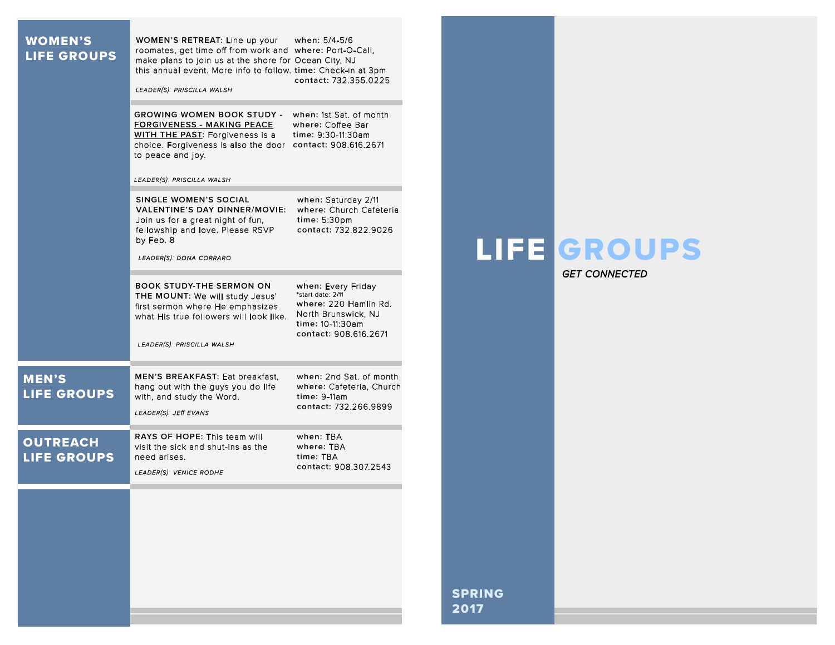| <b>WOMEN'S</b><br><b>LIFE GROUPS</b>  | WOMEN'S RETREAT: Line up your<br>when: 5/4-5/6<br>roomates, get time off from work and where: Port-O-Call,<br>make plans to join us at the shore for Ocean City, NJ<br>this annual event. More info to follow. time: Check-in at 3pm<br>contact: 732.355.0225<br>LEADER(S): PRISCILLA WALSH<br><b>GROWING WOMEN BOOK STUDY - when: 1st Sat. of month</b><br><b>FORGIVENESS - MAKING PEACE</b><br>where: Coffee Bar<br>WITH THE PAST: Forgiveness is a<br>time: 9:30-11:30am<br>choice. Forgiveness is also the door contact: 908.616.2671<br>to peace and joy.<br>LEADER(S): PRISCILLA WALSH<br><b>SINGLE WOMEN'S SOCIAL</b><br>when: Saturday 2/11<br>where: Church Cafeteria<br>VALENTINE'S DAY DINNER/MOVIE:<br>time: 5:30pm<br>Join us for a great night of fun,<br>fellowship and love. Please RSVP<br>contact: 732.822.9026<br>by Feb. 8<br>LEADER(S): DONA CORRARO<br>when: Every Friday<br><b>BOOK STUDY-THE SERMON ON</b><br>*start date: 2/11<br>THE MOUNT: We will study Jesus'<br>where: 220 Hamlin Rd.<br>first sermon where He emphasizes<br>North Brunswick, NJ<br>what His true followers will look like.<br>time: 10-11:30am<br>contact: 908.616.2671<br>LEADER(S): PRISCILLA WALSH |                       | <b>LIFE GROUPS</b><br><b>GET CONNECTED</b> |
|---------------------------------------|------------------------------------------------------------------------------------------------------------------------------------------------------------------------------------------------------------------------------------------------------------------------------------------------------------------------------------------------------------------------------------------------------------------------------------------------------------------------------------------------------------------------------------------------------------------------------------------------------------------------------------------------------------------------------------------------------------------------------------------------------------------------------------------------------------------------------------------------------------------------------------------------------------------------------------------------------------------------------------------------------------------------------------------------------------------------------------------------------------------------------------------------------------------------------------------------------|-----------------------|--------------------------------------------|
| <b>MEN'S</b><br><b>LIFE GROUPS</b>    | when: 2nd Sat. of month<br>MEN'S BREAKFAST: Eat breakfast,<br>hang out with the guys you do life<br>where: Cafeteria, Church<br>time: 9-11am<br>with, and study the Word.<br>contact: 732.266.9899<br>LEADER(S): JEff EVANS                                                                                                                                                                                                                                                                                                                                                                                                                                                                                                                                                                                                                                                                                                                                                                                                                                                                                                                                                                          |                       |                                            |
| <b>OUTREACH</b><br><b>LIFE GROUPS</b> | RAYS OF HOPE: This team will<br>when: TRA<br>where: TBA<br>visit the sick and shut-ins as the<br>time: TBA<br>need arises.<br>contact: 908.307.2543<br>LEADER(S): VENICE RODHE                                                                                                                                                                                                                                                                                                                                                                                                                                                                                                                                                                                                                                                                                                                                                                                                                                                                                                                                                                                                                       |                       |                                            |
|                                       |                                                                                                                                                                                                                                                                                                                                                                                                                                                                                                                                                                                                                                                                                                                                                                                                                                                                                                                                                                                                                                                                                                                                                                                                      | <b>SPRING</b><br>2017 |                                            |